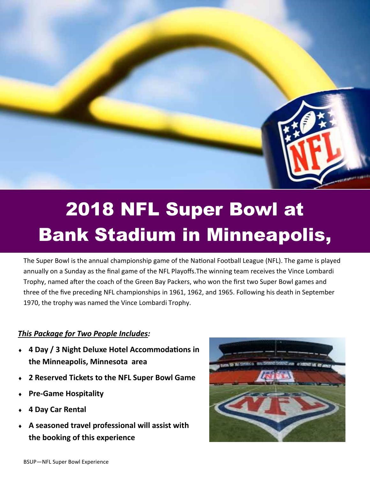

## 2018 NFL Super Bowl at Bank Stadium in Minneapolis,

The Super Bowl is the annual [championship game](http://en.wikipedia.org/wiki/Championship_game) of the [National Football League](http://en.wikipedia.org/wiki/National_Football_League) (NFL). The game is played annually on a Sunday as the final game of [the NFL Playoffs.T](http://en.wikipedia.org/wiki/NFL_playoffs)he winning team receives the [Vince Lombardi](http://en.wikipedia.org/wiki/Vince_Lombardi_Trophy)  [Trophy,](http://en.wikipedia.org/wiki/Vince_Lombardi_Trophy) named after the [coach](http://en.wikipedia.org/wiki/Vince_Lombardi) of the [Green Bay Packers,](http://en.wikipedia.org/wiki/Green_Bay_Packers) who won the first two Super Bowl games and three of the five preceding [NFL championships](http://en.wikipedia.org/wiki/History_of_NFL_Championships) in 1961, 1962, and 1965. Following his death in September 1970, the trophy was named the Vince Lombardi Trophy.

## *This Package for Two People Includes:*

- **4 Day / 3 Night Deluxe Hotel Accommodations in the Minneapolis, Minnesota area**
- **2 Reserved Tickets to the NFL Super Bowl Game**
- **Pre-Game Hospitality**
- **4 Day Car Rental**
- **A seasoned travel professional will assist with the booking of this experience**